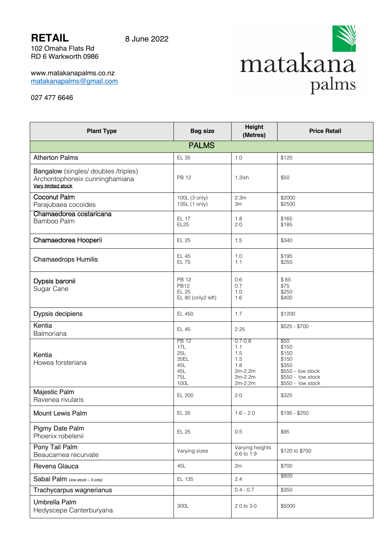**RETAIL** 8 June 2022

102 Omaha Flats Rd RD 6 Warkworth 0986 matakana<br>Palms

www.matakanapalms.co.nz matakanapalms@gmail.com

027 477 6646

| <b>Plant Type</b>                                                                            | <b>Bag size</b>                                                        | Height<br>(Metres)                                                             | <b>Price Retail</b>                                                                                       |
|----------------------------------------------------------------------------------------------|------------------------------------------------------------------------|--------------------------------------------------------------------------------|-----------------------------------------------------------------------------------------------------------|
| <b>PALMS</b>                                                                                 |                                                                        |                                                                                |                                                                                                           |
| <b>Atherton Palms</b>                                                                        | <b>EL 35</b>                                                           | 1.0                                                                            | \$120                                                                                                     |
| Bangalow (singles/ doubles /triples)<br>Archontophoneix cunninghamiana<br>Very limited stock | <b>PB 12</b>                                                           | 1.2ish                                                                         | \$50                                                                                                      |
| <b>Coconut Palm</b><br>Parajubaea cocoides                                                   | 100L (3 only)<br>135L (1 only)                                         | 2.3 <sub>m</sub><br>3m                                                         | \$2000<br>\$2500                                                                                          |
| Chamaedorea costaricana<br>Bamboo Palm                                                       | <b>EL 17</b><br><b>EL25</b>                                            | 1.8<br>2.0                                                                     | \$165<br>\$185                                                                                            |
| Chamaedorea Hooperii                                                                         | <b>EL 25</b>                                                           | 1.5                                                                            | \$340                                                                                                     |
| <b>Chamaedrops Humilis</b>                                                                   | <b>EL 45</b><br><b>EL 75</b>                                           | 1.0<br>1.1                                                                     | \$195<br>\$250                                                                                            |
| Dypsis baronii<br>Sugar Cane                                                                 | <b>PB 12</b><br><b>PB12</b><br><b>EL 25</b><br>EL 80 (only2 left)      | 0.6<br>0.7<br>1.0<br>1.6                                                       | \$65<br>\$75<br>\$250<br>\$400                                                                            |
| Dypsis decipiens                                                                             | EL 450                                                                 | 1.7                                                                            | \$1200                                                                                                    |
| Kentia<br>Balmoriana                                                                         | <b>EL 45</b>                                                           | 2.25                                                                           | $$525 - $700$                                                                                             |
| Kentia<br>Howea forsteriana                                                                  | <b>PB 12</b><br>17L<br><b>25L</b><br>35EL<br>45L<br>45L<br>75L<br>100L | $0.7 - 0.8$<br>1.1<br>1.5<br>1.5<br>1.8<br>$2m-2.2m$<br>$2m-2.2m$<br>$2m-2.2m$ | \$50<br>\$150<br>\$150<br>\$150<br>\$350<br>$$550 - low stock$<br>$$550 - low stock$<br>\$550 - low stock |
| Majestic Palm<br>Ravenea rivularis                                                           | EL 200                                                                 | 2.0                                                                            | \$325                                                                                                     |
| Mount Lewis Palm                                                                             | EL 35                                                                  | $1.6 - 2.0$                                                                    | $$195 - $250$                                                                                             |
| Pigmy Date Palm<br>Phoenix robelenii                                                         | <b>EL 25</b>                                                           | 0.5                                                                            | \$95                                                                                                      |
| Pony Tail Palm<br>Beaucarnea recurvate                                                       | Varying sizes                                                          | Varying heights<br>0.6 to 1.9                                                  | \$120 to \$700                                                                                            |
| Revena Glauca                                                                                | 45L                                                                    | 2m                                                                             | \$700                                                                                                     |
| Sabal Palm (low stock - 3 only)                                                              | EL 135                                                                 | 2.4                                                                            | \$800                                                                                                     |
| Trachycarpus wagnerianus                                                                     |                                                                        | $0.4 - 0.7$                                                                    | \$350                                                                                                     |
| Umbrella Palm<br>Hedyscepe Canterburyana                                                     | 300L                                                                   | 2.0 to 3.0                                                                     | \$5000                                                                                                    |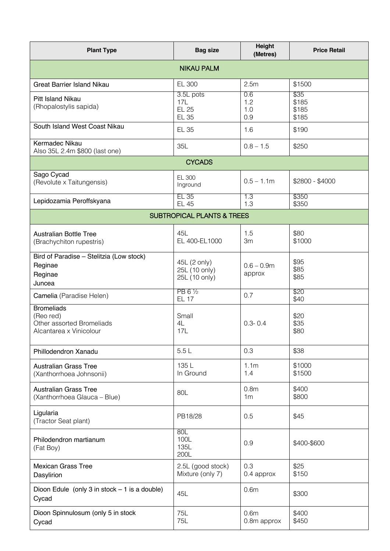| <b>Plant Type</b>                                                                      | <b>Bag size</b>                                  | <b>Height</b><br>(Metres)          | <b>Price Retail</b>             |
|----------------------------------------------------------------------------------------|--------------------------------------------------|------------------------------------|---------------------------------|
| <b>NIKAU PALM</b>                                                                      |                                                  |                                    |                                 |
| <b>Great Barrier Island Nikau</b>                                                      | <b>EL 300</b>                                    | 2.5m                               | \$1500                          |
| Pitt Island Nikau<br>(Rhopalostylis sapida)                                            | 3.5L pots<br>17L<br><b>EL 25</b><br><b>EL 35</b> | 0.6<br>1.2<br>1.0<br>0.9           | \$35<br>\$185<br>\$185<br>\$185 |
| South Island West Coast Nikau                                                          | <b>EL 35</b>                                     | 1.6                                | \$190                           |
| Kermadec Nikau<br>Also 35L 2.4m \$800 (last one)                                       | 35L                                              | $0.8 - 1.5$                        | \$250                           |
|                                                                                        | <b>CYCADS</b>                                    |                                    |                                 |
| Sago Cycad<br>(Revolute x Taitungensis)                                                | EL 300<br>Inground                               | $0.5 - 1.1m$                       | \$2800 - \$4000                 |
| Lepidozamia Peroffskyana                                                               | <b>EL 35</b><br><b>EL 45</b>                     | 1.3<br>1.3                         | \$350<br>\$350                  |
|                                                                                        | <b>SUBTROPICAL PLANTS &amp; TREES</b>            |                                    |                                 |
| <b>Australian Bottle Tree</b><br>(Brachychiton rupestris)                              | 45L<br>EL 400-EL1000                             | 1.5<br>3m                          | \$80<br>\$1000                  |
| Bird of Paradise - Stelitzia (Low stock)<br>Reginae<br>Reginae<br>Juncea               | 45L (2 only)<br>25L (10 only)<br>25L (10 only)   | $0.6 - 0.9m$<br>approx             | \$95<br>\$85<br>\$85            |
| Camelia (Paradise Helen)                                                               | PB 6 1/2<br><b>EL 17</b>                         | 0.7                                | \$20<br>\$40                    |
| <b>Bromeliads</b><br>(Reo red)<br>Other assorted Bromeliads<br>Alcantarea x Vinicolour | Small<br>4L<br>17L                               | $0.3 - 0.4$                        | \$20<br>\$35<br>\$80            |
| Phillodendron Xanadu                                                                   | 5.5L                                             | 0.3                                | \$38                            |
| <b>Australian Grass Tree</b><br>(Xanthorrhoea Johnsonii)                               | 135L<br>In Ground                                | 1.1 <sub>m</sub><br>1.4            | \$1000<br>\$1500                |
| <b>Australian Grass Tree</b><br>(Xanthorrhoea Glauca - Blue)                           | 80L                                              | 0.8 <sub>m</sub><br>1 <sub>m</sub> | \$400<br>\$800                  |
| Ligularia<br>(Tractor Seat plant)                                                      | PB18/28                                          | 0.5                                | \$45                            |
| Philodendron martianum<br>(Fat Boy)                                                    | 80L<br>100L<br>135L<br>200L                      | 0.9                                | \$400-\$600                     |
| <b>Mexican Grass Tree</b><br>Dasylirion                                                | 2.5L (good stock)<br>Mixture (only 7)            | 0.3<br>0.4 approx                  | \$25<br>\$150                   |
| Dioon Edule (only 3 in stock $-1$ is a double)<br>Cycad                                | 45L                                              | 0.6 <sub>m</sub>                   | \$300                           |
| Dioon Spinnulosum (only 5 in stock<br>Cycad                                            | 75L<br>75L                                       | 0.6 <sub>m</sub><br>0.8m approx    | \$400<br>\$450                  |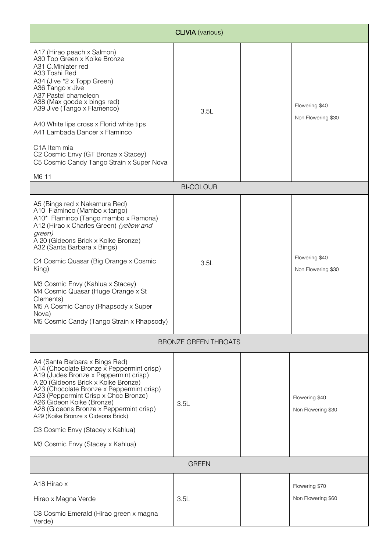| <b>CLIVIA</b> (various)                                                                                                                                                                                                                                                                                                                                                                                                                                                |                  |  |                                      |
|------------------------------------------------------------------------------------------------------------------------------------------------------------------------------------------------------------------------------------------------------------------------------------------------------------------------------------------------------------------------------------------------------------------------------------------------------------------------|------------------|--|--------------------------------------|
| A17 (Hirao peach x Salmon)<br>A30 Top Green x Koike Bronze<br>A31 C.Miniater red<br>A33 Toshi Red<br>A34 (Jive *2 x Topp Green)<br>A36 Tango x Jive<br>A37 Pastel chameleon<br>A38 (Max goode x bings red)<br>A39 Jive (Tango x Flamenco)<br>A40 White lips cross x Florid white tips<br>A41 Lambada Dancer x Flaminco<br>C1A Item mia<br>C2 Cosmic Envy (GT Bronze x Stacey)<br>C5 Cosmic Candy Tango Strain x Super Nova<br>M6 11                                    | 3.5L             |  | Flowering \$40<br>Non Flowering \$30 |
|                                                                                                                                                                                                                                                                                                                                                                                                                                                                        | <b>BI-COLOUR</b> |  |                                      |
| A5 (Bings red x Nakamura Red)<br>A10 Flaminco (Mambo x tango)<br>A10* Flaminco (Tango mambo x Ramona)<br>A12 (Hirao x Charles Green) (yellow and<br>green)<br>A 20 (Gideons Brick x Koike Bronze)<br>A32 (Santa Barbara x Bings)<br>C4 Cosmic Quasar (Big Orange x Cosmic<br>King)<br>M3 Cosmic Envy (Kahlua x Stacey)<br>M4 Cosmic Quasar (Huge Orange x St<br>Clements)<br>M5 A Cosmic Candy (Rhapsody x Super<br>Nova)<br>M5 Cosmic Candy (Tango Strain x Rhapsody) | 3.5L             |  | Flowering \$40<br>Non Flowering \$30 |
| <b>BRONZE GREEN THROATS</b>                                                                                                                                                                                                                                                                                                                                                                                                                                            |                  |  |                                      |
| A4 (Santa Barbara x Bings Red)<br>A14 (Chocolate Bronze x Peppermint crisp)<br>A19 (Judes Bronze x Peppermint crisp)<br>A 20 (Gideons Brick x Koike Bronze)<br>A23 (Chocolate Bronze x Peppermint crisp)<br>A23 (Peppermint Crisp x Choc Bronze)<br>A26 Gideon Koike (Bronze)<br>A28 (Gideons Bronze x Peppermint crisp)<br>A29 (Koike Bronze x Gideons Brick)<br>C3 Cosmic Envy (Stacey x Kahlua)<br>M3 Cosmic Envy (Stacey x Kahlua)                                 | 3.5L             |  | Flowering \$40<br>Non Flowering \$30 |
| <b>GREEN</b>                                                                                                                                                                                                                                                                                                                                                                                                                                                           |                  |  |                                      |
| A <sub>18</sub> Hirao x<br>Hirao x Magna Verde<br>C8 Cosmic Emerald (Hirao green x magna<br>Verde)                                                                                                                                                                                                                                                                                                                                                                     | 3.5L             |  | Flowering \$70<br>Non Flowering \$60 |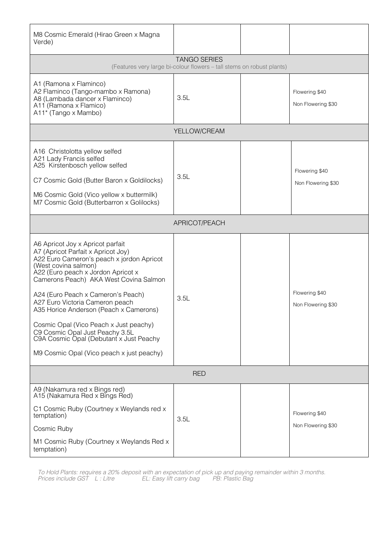| M8 Cosmic Emerald (Hirao Green x Magna<br>Verde)                                                                                                                                                                                                                                                                                                                                                                                                                                                                    |              |  |                                      |
|---------------------------------------------------------------------------------------------------------------------------------------------------------------------------------------------------------------------------------------------------------------------------------------------------------------------------------------------------------------------------------------------------------------------------------------------------------------------------------------------------------------------|--------------|--|--------------------------------------|
| <b>TANGO SERIES</b><br>(Features very large bi-colour flowers - tall stems on robust plants)                                                                                                                                                                                                                                                                                                                                                                                                                        |              |  |                                      |
| A1 (Ramona x Flaminco)<br>A2 Flaminco (Tango-mambo x Ramona)<br>A8 (Lambada dancer x Flaminco)<br>A11 (Ramona x Flamico)<br>A11* (Tango x Mambo)                                                                                                                                                                                                                                                                                                                                                                    | 3.5L         |  | Flowering \$40<br>Non Flowering \$30 |
|                                                                                                                                                                                                                                                                                                                                                                                                                                                                                                                     | YELLOW/CREAM |  |                                      |
| A16 Christolotta yellow selfed<br>A21 Lady Francis selfed<br>A25 Kirstenbosch yellow selfed<br>C7 Cosmic Gold (Butter Baron x Goldilocks)<br>M6 Cosmic Gold (Vico yellow x buttermilk)<br>M7 Cosmic Gold (Butterbarron x Golilocks)                                                                                                                                                                                                                                                                                 | 3.5L         |  | Flowering \$40<br>Non Flowering \$30 |
| APRICOT/PEACH                                                                                                                                                                                                                                                                                                                                                                                                                                                                                                       |              |  |                                      |
| A6 Apricot Joy x Apricot parfait<br>A7 (Apricot Parfait x Apricot Joy)<br>A22 Euro Cameron's peach x jordon Apricot<br>(West covina salmon)<br>A22 (Euro peach x Jordon Apricot x<br>Camerons Peach) AKA West Covina Salmon<br>A24 (Euro Peach x Cameron's Peach)<br>A27 Euro Victoria Cameron peach<br>A35 Horice Anderson (Peach x Camerons)<br>Cosmic Opal (Vico Peach x Just peachy)<br>C9 Cosmic Opal Just Peachy 3.5L<br>C9A Cosmic Opal (Debutant x Just Peachy<br>M9 Cosmic Opal (Vico peach x just peachy) | 3.5L         |  | Flowering \$40<br>Non Flowering \$30 |
| <b>RED</b>                                                                                                                                                                                                                                                                                                                                                                                                                                                                                                          |              |  |                                      |
| A9 (Nakamura red x Bings red)<br>A15 (Nakamura Red x Bings Red)<br>C1 Cosmic Ruby (Courtney x Weylands red x<br>temptation)<br>Cosmic Ruby<br>M1 Cosmic Ruby (Courtney x Weylands Red x<br>temptation)                                                                                                                                                                                                                                                                                                              | 3.5L         |  | Flowering \$40<br>Non Flowering \$30 |

*To Hold Plants: requires a 20% deposit with an expectation of pick up and paying remainder within 3 months. Prices include GST L : Litre EL: Easy lift carry bag PB: Plastic Bag*